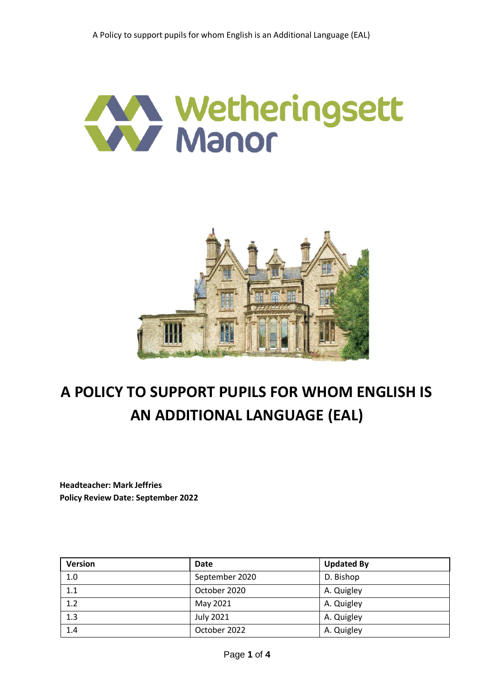



# **A POLICY TO SUPPORT PUPILS FOR WHOM ENGLISH IS AN ADDITIONAL LANGUAGE (EAL)**

**Headteacher: Mark Jeffries Policy Review Date: September 2022**

| <b>Version</b> | <b>Date</b>      | <b>Updated By</b> |
|----------------|------------------|-------------------|
| 1.0            | September 2020   | D. Bishop         |
| 1.1            | October 2020     | A. Quigley        |
| 1.2            | May 2021         | A. Quigley        |
| 1.3            | <b>July 2021</b> | A. Quigley        |
| 1.4            | October 2022     | A. Quigley        |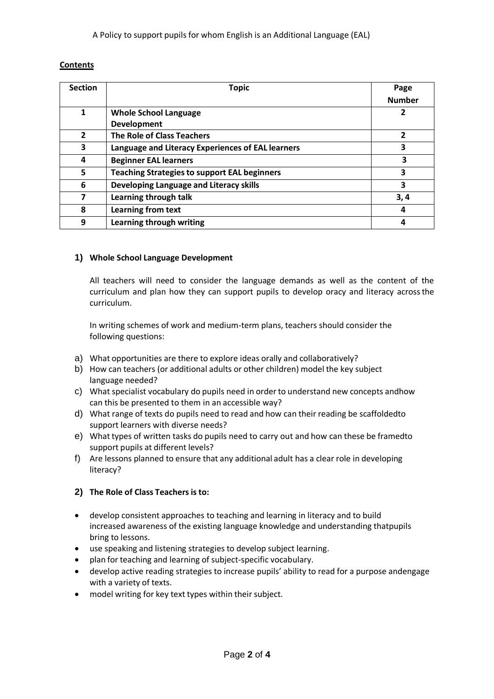A Policy to support pupils for whom English is an Additional Language (EAL)

# **Contents**

| <b>Section</b> | <b>Topic</b>                                        | Page          |
|----------------|-----------------------------------------------------|---------------|
|                |                                                     | <b>Number</b> |
| 1              | <b>Whole School Language</b>                        | 2             |
|                | <b>Development</b>                                  |               |
| $\overline{2}$ | <b>The Role of Class Teachers</b>                   | 2             |
| 3              | Language and Literacy Experiences of EAL learners   | 3             |
| 4              | <b>Beginner EAL learners</b>                        | 3             |
| 5              | <b>Teaching Strategies to support EAL beginners</b> | 3             |
| 6              | Developing Language and Literacy skills             | 3             |
| 7              | Learning through talk                               | 3,4           |
| 8              | <b>Learning from text</b>                           | 4             |
| 9              | Learning through writing                            | 4             |

# **1) Whole School Language Development**

All teachers will need to consider the language demands as well as the content of the curriculum and plan how they can support pupils to develop oracy and literacy acrossthe curriculum.

In writing schemes of work and medium-term plans, teachers should consider the following questions:

- a) What opportunities are there to explore ideas orally and collaboratively?
- b) How can teachers (or additional adults or other children) model the key subject language needed?
- c) What specialist vocabulary do pupils need in order to understand new concepts andhow can this be presented to them in an accessible way?
- d) What range of texts do pupils need to read and how can their reading be scaffoldedto support learners with diverse needs?
- e) What types of written tasks do pupils need to carry out and how can these be framedto support pupils at different levels?
- f) Are lessons planned to ensure that any additional adult has a clear role in developing literacy?

# **2) The Role of Class Teachersis to:**

- develop consistent approaches to teaching and learning in literacy and to build increased awareness of the existing language knowledge and understanding thatpupils bring to lessons.
- use speaking and listening strategies to develop subject learning.
- plan for teaching and learning of subject-specific vocabulary.
- develop active reading strategies to increase pupils' ability to read for a purpose andengage with a variety of texts.
- model writing for key text types within their subject.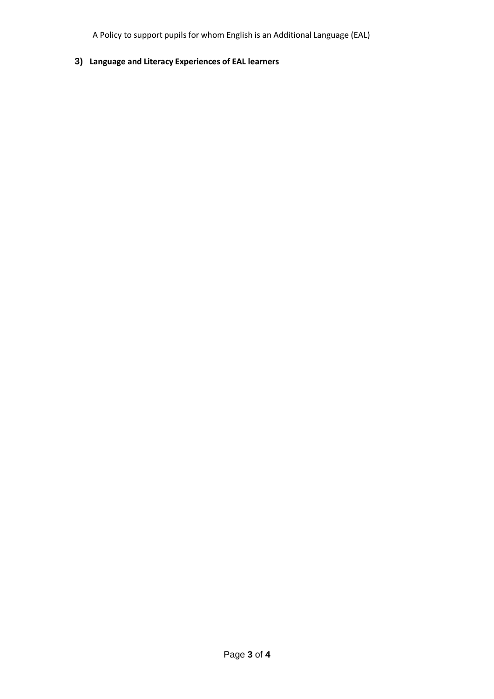A Policy to support pupils for whom English is an Additional Language (EAL)

**3) Language and Literacy Experiences of EAL learners**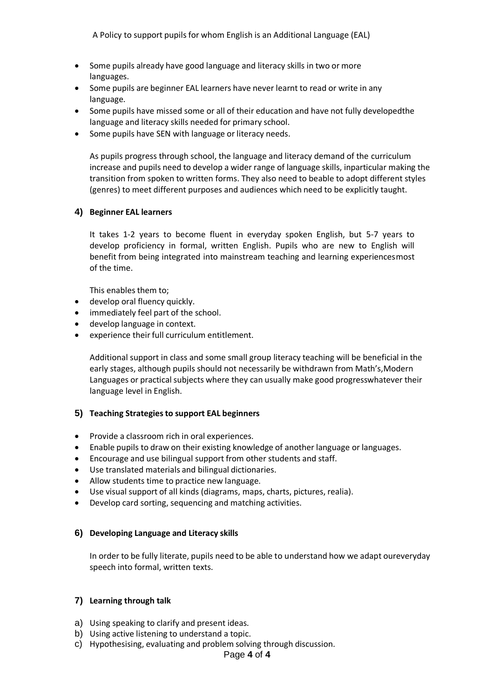- Some pupils already have good language and literacy skills in two or more languages.
- Some pupils are beginner EAL learners have never learnt to read or write in any language.
- Some pupils have missed some or all of their education and have not fully developedthe language and literacy skills needed for primary school.
- Some pupils have SEN with language or literacy needs.

As pupils progress through school, the language and literacy demand of the curriculum increase and pupils need to develop a wider range of language skills, inparticular making the transition from spoken to written forms. They also need to beable to adopt different styles (genres) to meet different purposes and audiences which need to be explicitly taught.

# **4) Beginner EAL learners**

It takes 1-2 years to become fluent in everyday spoken English, but 5-7 years to develop proficiency in formal, written English. Pupils who are new to English will benefit from being integrated into mainstream teaching and learning experiencesmost of the time.

This enables them to;

- develop oral fluency quickly.
- immediately feel part of the school.
- develop language in context.
- experience theirfull curriculum entitlement.

Additional support in class and some small group literacy teaching will be beneficial in the early stages, although pupils should not necessarily be withdrawn from Math's,Modern Languages or practical subjects where they can usually make good progresswhatever their language level in English.

#### **5) Teaching Strategiesto support EAL beginners**

- Provide a classroom rich in oral experiences.
- Enable pupils to draw on their existing knowledge of another language or languages.
- Encourage and use bilingual support from other students and staff.
- Use translated materials and bilingual dictionaries.
- Allow students time to practice new language.
- Use visual support of all kinds (diagrams, maps, charts, pictures, realia).
- Develop card sorting, sequencing and matching activities.

#### **6) Developing Language and Literacy skills**

In order to be fully literate, pupils need to be able to understand how we adapt oureveryday speech into formal, written texts.

#### **7) Learning through talk**

- a) Using speaking to clarify and present ideas.
- b) Using active listening to understand a topic.
- c) Hypothesising, evaluating and problem solving through discussion.